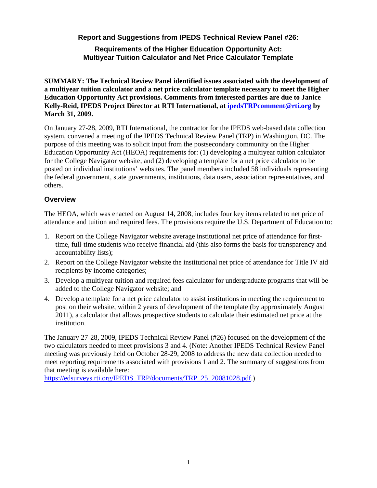**Report and Suggestions from IPEDS Technical Review Panel #26:** 

### **Requirements of the Higher Education Opportunity Act: Multiyear Tuition Calculator and Net Price Calculator Template**

**SUMMARY: The Technical Review Panel identified issues associated with the development of a multiyear tuition calculator and a net price calculator template necessary to meet the Higher Education Opportunity Act provisions. Comments from interested parties are due to Janice Kelly-Reid, IPEDS Project Director at RTI International, at ipedsTRPcomment@rti.org by March 31, 2009.** 

On January 27-28, 2009, RTI International, the contractor for the IPEDS web-based data collection system, convened a meeting of the IPEDS Technical Review Panel (TRP) in Washington, DC. The purpose of this meeting was to solicit input from the postsecondary community on the Higher Education Opportunity Act (HEOA) requirements for: (1) developing a multiyear tuition calculator for the College Navigator website, and (2) developing a template for a net price calculator to be posted on individual institutions' websites. The panel members included 58 individuals representing the federal government, state governments, institutions, data users, association representatives, and others.

### **Overview**

The HEOA, which was enacted on August 14, 2008, includes four key items related to net price of attendance and tuition and required fees. The provisions require the U.S. Department of Education to:

- 1. Report on the College Navigator website average institutional net price of attendance for firsttime, full-time students who receive financial aid (this also forms the basis for transparency and accountability lists);
- 2. Report on the College Navigator website the institutional net price of attendance for Title IV aid recipients by income categories;
- 3. Develop a multiyear tuition and required fees calculator for undergraduate programs that will be added to the College Navigator website; and
- 4. Develop a template for a net price calculator to assist institutions in meeting the requirement to post on their website, within 2 years of development of the template (by approximately August 2011), a calculator that allows prospective students to calculate their estimated net price at the institution.

The January 27-28, 2009, IPEDS Technical Review Panel (#26) focused on the development of the two calculators needed to meet provisions 3 and 4. (Note: Another IPEDS Technical Review Panel meeting was previously held on October 28-29, 2008 to address the new data collection needed to meet reporting requirements associated with provisions 1 and 2. The summary of suggestions from that meeting is available here:

https://edsurveys.rti.org/IPEDS\_TRP/documents/TRP\_25\_20081028.pdf.)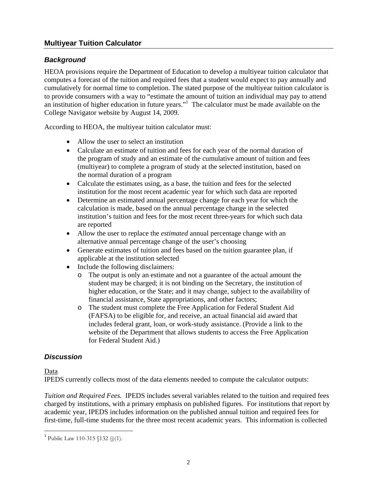# **Multiyear Tuition Calculator**

## *Background*

HEOA provisions require the Department of Education to develop a multiyear tuition calculator that computes a forecast of the tuition and required fees that a student would expect to pay annually and cumulatively for normal time to completion. The stated purpose of the multiyear tuition calculator is to provide consumers with a way to "estimate the amount of tuition an individual may pay to attend an institution of higher education in future years."<sup>1</sup> The calculator must be made available on the College Navigator website by August 14, 2009.

According to HEOA, the multiyear tuition calculator must:

- Allow the user to select an institution
- Calculate an estimate of tuition and fees for each year of the normal duration of the program of study and an estimate of the cumulative amount of tuition and fees (multiyear) to complete a program of study at the selected institution, based on the normal duration of a program
- Calculate the estimates using, as a base, the tuition and fees for the selected institution for the most recent academic year for which such data are reported
- Determine an estimated annual percentage change for each year for which the calculation is made, based on the annual percentage change in the selected institution's tuition and fees for the most recent three-years for which such data are reported
- Allow the user to replace the *estimated* annual percentage change with an alternative annual percentage change of the user's choosing
- Generate estimates of tuition and fees based on the tuition guarantee plan, if applicable at the institution selected
- Include the following disclaimers:
	- o The output is only an estimate and not a guarantee of the actual amount the student may be charged; it is not binding on the Secretary, the institution of higher education, or the State; and it may change, subject to the availability of financial assistance, State appropriations, and other factors;
	- o The student must complete the Free Application for Federal Student Aid (FAFSA) to be eligible for, and receive, an actual financial aid award that includes federal grant, loan, or work-study assistance. (Provide a link to the website of the Department that allows students to access the Free Application for Federal Student Aid.)

## *Discussion*

### Data

 $\overline{a}$ 

IPEDS currently collects most of the data elements needed to compute the calculator outputs:

*Tuition and Required Fees.* IPEDS includes several variables related to the tuition and required fees charged by institutions, with a primary emphasis on published figures. For institutions that report by academic year, IPEDS includes information on the published annual tuition and required fees for first-time, full-time students for the three most recent academic years. This information is collected

<sup>&</sup>lt;sup>1</sup> Public Law 110-315 §132 (j)(1).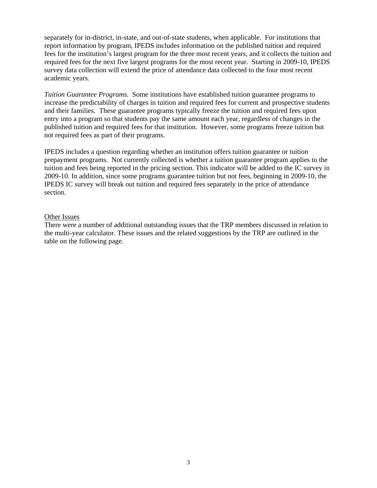separately for in-district, in-state, and out-of-state students, when applicable. For institutions that report information by program, IPEDS includes information on the published tuition and required fees for the institution's largest program for the three most recent years, and it collects the tuition and required fees for the next five largest programs for the most recent year. Starting in 2009-10, IPEDS survey data collection will extend the price of attendance data collected to the four most recent academic years.

*Tuition Guarantee Programs.* Some institutions have established tuition guarantee programs to increase the predictability of charges in tuition and required fees for current and prospective students and their families. These guarantee programs typically freeze the tuition and required fees upon entry into a program so that students pay the same amount each year, regardless of changes in the published tuition and required fees for that institution. However, some programs freeze tuition but not required fees as part of their programs.

IPEDS includes a question regarding whether an institution offers tuition guarantee or tuition prepayment programs. Not currently collected is whether a tuition guarantee program applies to the tuition and fees being reported in the pricing section. This indicator will be added to the IC survey in 2009-10. In addition, since some programs guarantee tuition but not fees, beginning in 2009-10, the IPEDS IC survey will break out tuition and required fees separately in the price of attendance section.

#### Other Issues

There were a number of additional outstanding issues that the TRP members discussed in relation to the multi-year calculator. These issues and the related suggestions by the TRP are outlined in the table on the following page.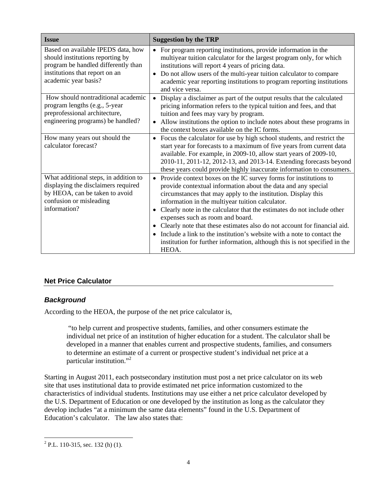| <b>Issue</b>                                                                                                                                                            | <b>Suggestion by the TRP</b>                                                                                                                                                                                                                                                                                                                                                                                                                                                                                                                                                                                                                |
|-------------------------------------------------------------------------------------------------------------------------------------------------------------------------|---------------------------------------------------------------------------------------------------------------------------------------------------------------------------------------------------------------------------------------------------------------------------------------------------------------------------------------------------------------------------------------------------------------------------------------------------------------------------------------------------------------------------------------------------------------------------------------------------------------------------------------------|
| Based on available IPEDS data, how<br>should institutions reporting by<br>program be handled differently than<br>institutions that report on an<br>academic year basis? | For program reporting institutions, provide information in the<br>$\bullet$<br>multiyear tuition calculator for the largest program only, for which<br>institutions will report 4 years of pricing data.<br>Do not allow users of the multi-year tuition calculator to compare<br>academic year reporting institutions to program reporting institutions<br>and vice versa.                                                                                                                                                                                                                                                                 |
| How should nontraditional academic<br>program lengths (e.g., 5-year<br>preprofessional architecture,<br>engineering programs) be handled?                               | Display a disclaimer as part of the output results that the calculated<br>$\bullet$<br>pricing information refers to the typical tuition and fees, and that<br>tuition and fees may vary by program.<br>Allow institutions the option to include notes about these programs in<br>$\bullet$<br>the context boxes available on the IC forms.                                                                                                                                                                                                                                                                                                 |
| How many years out should the<br>calculator forecast?                                                                                                                   | Focus the calculator for use by high school students, and restrict the<br>$\bullet$<br>start year for forecasts to a maximum of five years from current data<br>available. For example, in 2009-10, allow start years of 2009-10,<br>2010-11, 2011-12, 2012-13, and 2013-14. Extending forecasts beyond<br>these years could provide highly inaccurate information to consumers.                                                                                                                                                                                                                                                            |
| What additional steps, in addition to<br>displaying the disclaimers required<br>by HEOA, can be taken to avoid<br>confusion or misleading<br>information?               | Provide context boxes on the IC survey forms for institutions to<br>$\bullet$<br>provide contextual information about the data and any special<br>circumstances that may apply to the institution. Display this<br>information in the multiyear tuition calculator.<br>Clearly note in the calculator that the estimates do not include other<br>$\bullet$<br>expenses such as room and board.<br>Clearly note that these estimates also do not account for financial aid.<br>Include a link to the institution's website with a note to contact the<br>institution for further information, although this is not specified in the<br>HEOA. |

## **Net Price Calculator**

## *Background*

According to the HEOA, the purpose of the net price calculator is,

"to help current and prospective students, families, and other consumers estimate the individual net price of an institution of higher education for a student. The calculator shall be developed in a manner that enables current and prospective students, families, and consumers to determine an estimate of a current or prospective student's individual net price at a particular institution."<sup>2</sup>

Starting in August 2011, each postsecondary institution must post a net price calculator on its web site that uses institutional data to provide estimated net price information customized to the characteristics of individual students. Institutions may use either a net price calculator developed by the U.S. Department of Education or one developed by the institution as long as the calculator they develop includes "at a minimum the same data elements" found in the U.S. Department of Education's calculator. The law also states that:

 $\overline{a}$ 

 $2$  P.L. 110-315, sec. 132 (h) (1).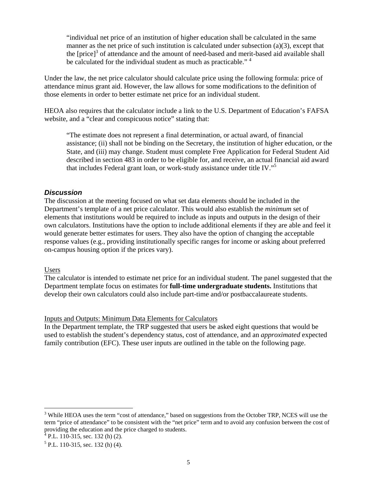"individual net price of an institution of higher education shall be calculated in the same manner as the net price of such institution is calculated under subsection (a)(3), except that the [price]<sup>3</sup> of attendance and the amount of need-based and merit-based aid available shall be calculated for the individual student as much as practicable."<sup>4</sup>

Under the law, the net price calculator should calculate price using the following formula: price of attendance minus grant aid. However, the law allows for some modifications to the definition of those elements in order to better estimate net price for an individual student.

HEOA also requires that the calculator include a link to the U.S. Department of Education's FAFSA website, and a "clear and conspicuous notice" stating that:

"The estimate does not represent a final determination, or actual award, of financial assistance; (ii) shall not be binding on the Secretary, the institution of higher education, or the State, and (iii) may change. Student must complete Free Application for Federal Student Aid described in section 483 in order to be eligible for, and receive, an actual financial aid award that includes Federal grant loan, or work-study assistance under title IV."5

#### *Discussion*

The discussion at the meeting focused on what set data elements should be included in the Department's template of a net price calculator. This would also establish the *minimum* set of elements that institutions would be required to include as inputs and outputs in the design of their own calculators. Institutions have the option to include additional elements if they are able and feel it would generate better estimates for users. They also have the option of changing the acceptable response values (e.g., providing institutionally specific ranges for income or asking about preferred on-campus housing option if the prices vary).

#### Users

 $\overline{a}$ 

The calculator is intended to estimate net price for an individual student. The panel suggested that the Department template focus on estimates for **full-time undergraduate students.** Institutions that develop their own calculators could also include part-time and/or postbaccalaureate students.

#### Inputs and Outputs: Minimum Data Elements for Calculators

In the Department template, the TRP suggested that users be asked eight questions that would be used to establish the student's dependency status, cost of attendance, and an *approximated* expected family contribution (EFC). These user inputs are outlined in the table on the following page.

<sup>&</sup>lt;sup>3</sup> While HEOA uses the term "cost of attendance," based on suggestions from the October TRP, NCES will use the term "price of attendance" to be consistent with the "net price" term and to avoid any confusion between the cost of providing the education and the price charged to students.<br><sup>4</sup> P.L. 110-315, sec. 132 (h) (2).

 $<sup>5</sup>$  P.L. 110-315, sec. 132 (h) (4).</sup>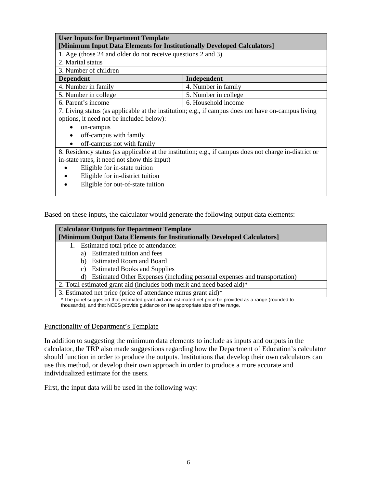| <b>User Inputs for Department Template</b><br>[Minimum Input Data Elements for Institutionally Developed Calculators]                                  |                                                                                                       |  |  |  |  |  |  |
|--------------------------------------------------------------------------------------------------------------------------------------------------------|-------------------------------------------------------------------------------------------------------|--|--|--|--|--|--|
| 1. Age (those 24 and older do not receive questions 2 and 3)                                                                                           |                                                                                                       |  |  |  |  |  |  |
| 2. Marital status                                                                                                                                      |                                                                                                       |  |  |  |  |  |  |
| 3. Number of children                                                                                                                                  |                                                                                                       |  |  |  |  |  |  |
| <b>Dependent</b>                                                                                                                                       | Independent                                                                                           |  |  |  |  |  |  |
| 4. Number in family                                                                                                                                    | 4. Number in family                                                                                   |  |  |  |  |  |  |
| 5. Number in college                                                                                                                                   | 5. Number in college                                                                                  |  |  |  |  |  |  |
| 6. Parent's income                                                                                                                                     | 6. Household income                                                                                   |  |  |  |  |  |  |
| options, it need not be included below):<br>on-campus<br>off-campus with family<br>off-campus not with family                                          | 7. Living status (as applicable at the institution; e.g., if campus does not have on-campus living    |  |  |  |  |  |  |
| in-state rates, it need not show this input)<br>Eligible for in-state tuition<br>Eligible for in-district tuition<br>Eligible for out-of-state tuition | 8. Residency status (as applicable at the institution; e.g., if campus does not charge in-district or |  |  |  |  |  |  |

Based on these inputs, the calculator would generate the following output data elements:

| <b>Calculator Outputs for Department Template</b><br>[Minimum Output Data Elements for Institutionally Developed Calculators] |  |  |  |  |  |  |
|-------------------------------------------------------------------------------------------------------------------------------|--|--|--|--|--|--|
| Estimated total price of attendance:<br>1.                                                                                    |  |  |  |  |  |  |
| Estimated tuition and fees<br>a)                                                                                              |  |  |  |  |  |  |
| <b>Estimated Room and Board</b><br>b)                                                                                         |  |  |  |  |  |  |
| <b>Estimated Books and Supplies</b><br>C)                                                                                     |  |  |  |  |  |  |
| Estimated Other Expenses (including personal expenses and transportation)<br>d)                                               |  |  |  |  |  |  |
| 2. Total estimated grant aid (includes both merit and need based aid)*                                                        |  |  |  |  |  |  |
| 3. Estimated net price (price of attendance minus grant aid)*                                                                 |  |  |  |  |  |  |
| * The panel suggested that estimated grant aid and estimated net price be provided as a range (rounded to                     |  |  |  |  |  |  |

thousands), and that NCES provide guidance on the appropriate size of the range.

### Functionality of Department's Template

In addition to suggesting the minimum data elements to include as inputs and outputs in the calculator, the TRP also made suggestions regarding how the Department of Education's calculator should function in order to produce the outputs. Institutions that develop their own calculators can use this method, or develop their own approach in order to produce a more accurate and individualized estimate for the users.

First, the input data will be used in the following way: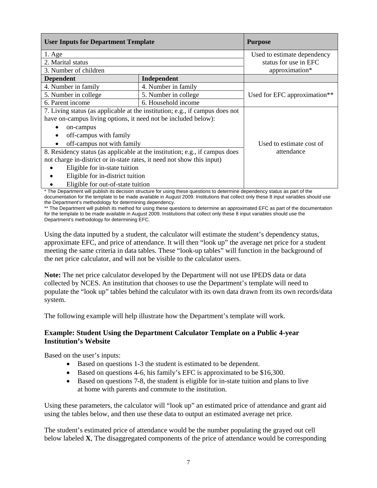| <b>User Inputs for Department Template</b>                                   | <b>Purpose</b>              |                              |  |  |
|------------------------------------------------------------------------------|-----------------------------|------------------------------|--|--|
| $1. \text{Age}$                                                              | Used to estimate dependency |                              |  |  |
| 2. Marital status                                                            | status for use in EFC       |                              |  |  |
| 3. Number of children                                                        | approximation*              |                              |  |  |
| <b>Dependent</b>                                                             | Independent                 |                              |  |  |
| 4. Number in family                                                          | 4. Number in family         |                              |  |  |
| 5. Number in college                                                         | 5. Number in college        | Used for EFC approximation** |  |  |
| 6. Parent income                                                             | 6. Household income         |                              |  |  |
| 7. Living status (as applicable at the institution; e.g., if campus does not |                             |                              |  |  |
| have on-campus living options, it need not be included below):               |                             |                              |  |  |
| on-campus                                                                    |                             |                              |  |  |
| off-campus with family<br>٠                                                  |                             |                              |  |  |
| off-campus not with family                                                   | Used to estimate cost of    |                              |  |  |
| 8. Residency status (as applicable at the institution; e.g., if campus does  | attendance                  |                              |  |  |
| not charge in-district or in-state rates, it need not show this input)       |                             |                              |  |  |
| Eligible for in-state tuition                                                |                             |                              |  |  |
| Eligible for in-district tuition                                             |                             |                              |  |  |
| Eligible for out-of-state tuition                                            |                             |                              |  |  |

\* The Department will publish its decision structure for using these questions to determine dependency status as part of the documentation for the template to be made available in August 2009. Institutions that collect only these 8 input variables should use the Department's methodology for determining dependency.

\*\* The Department will publish its method for using these questions to determine an approximated EFC as part of the documentation for the template to be made available in August 2009. Institutions that collect only these 8 input variables should use the Department's methodology for determining EFC.

Using the data inputted by a student, the calculator will estimate the student's dependency status, approximate EFC, and price of attendance. It will then "look up" the average net price for a student meeting the same criteria in data tables. These "look-up tables" will function in the background of the net price calculator, and will not be visible to the calculator users.

**Note:** The net price calculator developed by the Department will not use IPEDS data or data collected by NCES. An institution that chooses to use the Department's template will need to populate the "look up" tables behind the calculator with its own data drawn from its own records/data system.

The following example will help illustrate how the Department's template will work.

### **Example: Student Using the Department Calculator Template on a Public 4-year Institution's Website**

Based on the user's inputs:

- Based on questions 1-3 the student is estimated to be dependent.
- Based on questions 4-6, his family's EFC is approximated to be \$16,300.
- Based on questions 7-8, the student is eligible for in-state tuition and plans to live at home with parents and commute to the institution.

Using these parameters, the calculator will "look up" an estimated price of attendance and grant aid using the tables below, and then use these data to output an estimated average net price.

The student's estimated price of attendance would be the number populating the grayed out cell below labeled **X**, The disaggregated components of the price of attendance would be corresponding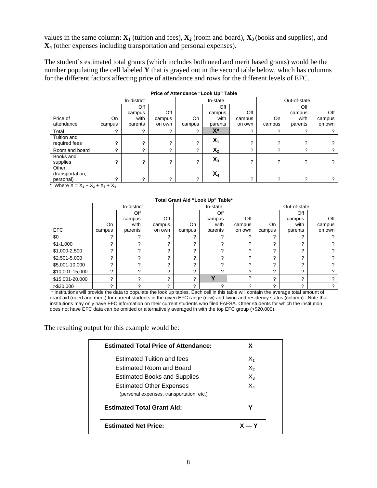values in the same column:  $\mathbf{X}_1$  (tuition and fees),  $\mathbf{X}_2$  (room and board),  $\mathbf{X}_3$  (books and supplies), and **X4** (other expenses including transportation and personal expenses).

The student's estimated total grants (which includes both need and merit based grants) would be the number populating the cell labeled **Y** that is grayed out in the second table below, which has columns for the different factors affecting price of attendance and rows for the different levels of EFC.

| Price of Attendance "Look Up" Table                              |                     |                |        |              |                |        |              |         |          |
|------------------------------------------------------------------|---------------------|----------------|--------|--------------|----------------|--------|--------------|---------|----------|
|                                                                  | In-district         |                |        | In-state     |                |        | Out-of-state |         |          |
|                                                                  |                     | Off            |        |              | Off            |        |              | Off     |          |
|                                                                  |                     | campus         | Off    |              | campus         | Off    |              | campus  | Off      |
| Price of                                                         | On                  | with           | campus | On           | with           | campus | <b>On</b>    | with    | campus   |
| attendance                                                       | campus              | parents        | on own | campus       | parents        | on own | campus       | parents | on own   |
| Total                                                            | $\sqrt{2}$          | 2              | ົ      | C.           | X*             | っ      | ◠            | っ       |          |
| Tuition and<br>required fees                                     | ◠                   | 2              | հ      | հ            | $X_1$          | っ      | հ            | ာ       | っ        |
| Room and board                                                   | ◠                   | ?              | ◠      | ?            | X <sub>2</sub> | っ      | հ            | っ       | 2        |
| Books and<br>supplies                                            | հ                   | $\overline{?}$ | っ      | ?            | $X_3$          | っ      | C.           | 2       | $\gamma$ |
| Other<br>(transportation,                                        |                     |                |        |              | $X_4$          |        |              |         |          |
| personal)<br>$V \cdot V \cdot V$<br>$*$ M <sub>k</sub> $ \sim$ M | հ<br>$\cdot$ $\vee$ | 2              | C      | <sup>2</sup> |                | 2      | <sup>2</sup> | C       | 2        |

Where  $X = X_1 + X_2 + X_3 + X_4$ 

| Total Grant Aid "Look Up" Table* |             |         |          |          |         |        |              |         |        |
|----------------------------------|-------------|---------|----------|----------|---------|--------|--------------|---------|--------|
|                                  | In-district |         |          | In-state |         |        | Out-of-state |         |        |
|                                  |             | Off     |          |          | Off     |        |              | Off     |        |
|                                  |             | campus  | Off      |          | campus  | Off    |              | campus  | Off    |
|                                  | On          | with    | campus   | On       | with    | campus | <b>On</b>    | with    | campus |
| <b>EFC</b>                       | campus      | parents | on own   | campus   | parents | on own | campus       | parents | on own |
| \$0                              | ◠           | ◠       | ◠        | ◠        | っ       | ◠      | հ            | ົ       |        |
| $$1-1,000$                       | ◠           | ∩       | $\Omega$ | ◠        | っ       | ◠      | հ            | ⌒       |        |
| \$1,000-2,500                    | ົ           | ◠       | ◠        | ◠        | っ       | ◠      | っ            | ົ       |        |
| \$2,501-5,000                    | C           | ⌒       | ◠        | ◠        | հ       | ◠      | C            | ⌒       |        |
| \$5,001-10,000                   | າ           | ◠       | ◠        | ◠        | っ       | ◠      | հ            | ົ       |        |
| \$10,001-15,000                  | ົ           | っ       | ◠        | ◠        | հ       | っ      | C            | ◠       |        |
| \$15,001-20,000                  | C           | ◠       | $\Omega$ | ◠        | v       | 2      | C            | ◠       |        |
| > \$20,000                       | C           | ◠       | ◠        | ◠        | 2       | っ      | C            | հ       | ◠      |

 \* Institutions will provide the data to populate the look up tables. Each cell in this table will contain the average total amount of grant aid (need and merit) for current students in the given EFC range (row) and living and residency status (column). Note that institutions may only have EFC information on their current students who filed FAFSA. Other students for which the institution does not have EFC data can be omitted or alternatively averaged in with the top EFC group (>\$20,000).

The resulting output for this example would be:

| <b>Estimated Total Price of Attendance:</b>                                  | x              |  |
|------------------------------------------------------------------------------|----------------|--|
| <b>Estimated Tuition and fees</b>                                            | $X_1$          |  |
| Estimated Room and Board                                                     | $X_{2}$        |  |
| <b>Estimated Books and Supplies</b>                                          | $X_3$          |  |
| <b>Estimated Other Expenses</b><br>(personal expenses, transportation, etc.) | $\mathsf{X}_4$ |  |
| <b>Estimated Total Grant Aid:</b>                                            | Υ              |  |
| <b>Estimated Net Price:</b>                                                  | $X - Y$        |  |